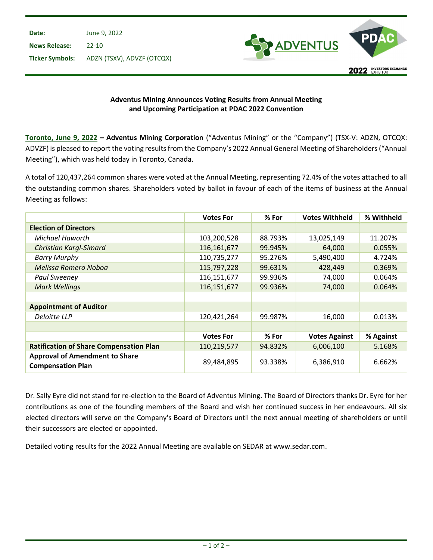

## Adventus Mining Announces Voting Results from Annual Meeting and Upcoming Participation at PDAC 2022 Convention

Toronto, June 9, 2022 – Adventus Mining Corporation ("Adventus Mining" or the "Company") (TSX-V: ADZN, OTCQX: ADVZF) is pleased to report the voting results from the Company's 2022 Annual General Meeting of Shareholders ("Annual Meeting"), which was held today in Toronto, Canada.

A total of 120,437,264 common shares were voted at the Annual Meeting, representing 72.4% of the votes attached to all the outstanding common shares. Shareholders voted by ballot in favour of each of the items of business at the Annual Meeting as follows:

|                                                                   | <b>Votes For</b> | % For   | <b>Votes Withheld</b> | % Withheld |
|-------------------------------------------------------------------|------------------|---------|-----------------------|------------|
| <b>Election of Directors</b>                                      |                  |         |                       |            |
| Michael Haworth                                                   | 103,200,528      | 88.793% | 13,025,149            | 11.207%    |
| <b>Christian Kargl-Simard</b>                                     | 116,161,677      | 99.945% | 64,000                | 0.055%     |
| <b>Barry Murphy</b>                                               | 110,735,277      | 95.276% | 5,490,400             | 4.724%     |
| Melissa Romero Noboa                                              | 115,797,228      | 99.631% | 428,449               | 0.369%     |
| Paul Sweeney                                                      | 116,151,677      | 99.936% | 74,000                | 0.064%     |
| <b>Mark Wellings</b>                                              | 116,151,677      | 99.936% | 74,000                | 0.064%     |
|                                                                   |                  |         |                       |            |
| <b>Appointment of Auditor</b>                                     |                  |         |                       |            |
| Deloitte LLP                                                      | 120,421,264      | 99.987% | 16,000                | 0.013%     |
|                                                                   |                  |         |                       |            |
|                                                                   | <b>Votes For</b> | % For   | <b>Votes Against</b>  | % Against  |
| <b>Ratification of Share Compensation Plan</b>                    | 110,219,577      | 94.832% | 6,006,100             | 5.168%     |
| <b>Approval of Amendment to Share</b><br><b>Compensation Plan</b> | 89,484,895       | 93.338% | 6,386,910             | 6.662%     |

Dr. Sally Eyre did not stand for re-election to the Board of Adventus Mining. The Board of Directors thanks Dr. Eyre for her contributions as one of the founding members of the Board and wish her continued success in her endeavours. All six elected directors will serve on the Company's Board of Directors until the next annual meeting of shareholders or until their successors are elected or appointed.

Detailed voting results for the 2022 Annual Meeting are available on SEDAR at www.sedar.com.